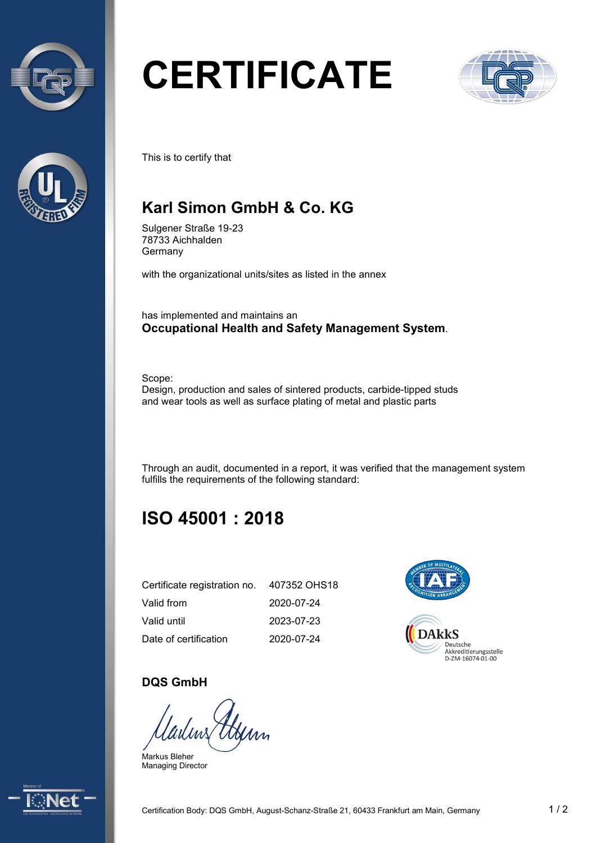



# **CERTIFICATE**



This is to certify that

## **Karl Simon GmbH & Co. KG**

Sulgener Straße 19-23 78733 Aichhalden Germany

with the organizational units/sites as listed in the annex

has implemented and maintains an **Occupational Health and Safety Management System**.

Scope: Design, production and sales of sintered products, carbide-tipped studs and wear tools as well as surface plating of metal and plastic parts

Through an audit, documented in a report, it was verified that the management system fulfills the requirements of the following standard:

# **ISO 45001 : 2018**

| Certificate registration no. | 407352 OHS18 |
|------------------------------|--------------|
| Valid from                   | 2020-07-24   |
| Valid until                  | 2023-07-23   |
| Date of certification        | 2020-07-24   |



#### **DQS GmbH**

Markus Bleher Managing Director